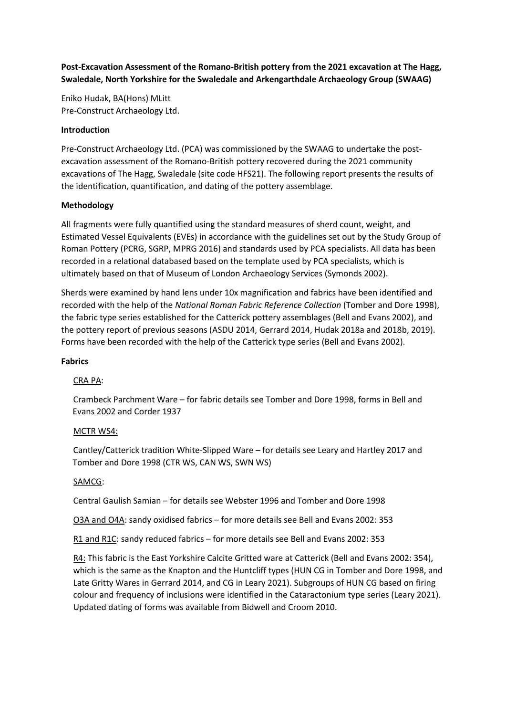**Post-Excavation Assessment of the Romano-British pottery from the 2021 excavation at The Hagg, Swaledale, North Yorkshire for the Swaledale and Arkengarthdale Archaeology Group (SWAAG)**

Eniko Hudak, BA(Hons) MLitt Pre-Construct Archaeology Ltd.

#### **Introduction**

Pre-Construct Archaeology Ltd. (PCA) was commissioned by the SWAAG to undertake the postexcavation assessment of the Romano-British pottery recovered during the 2021 community excavations of The Hagg, Swaledale (site code HFS21). The following report presents the results of the identification, quantification, and dating of the pottery assemblage.

### **Methodology**

All fragments were fully quantified using the standard measures of sherd count, weight, and Estimated Vessel Equivalents (EVEs) in accordance with the guidelines set out by the Study Group of Roman Pottery (PCRG, SGRP, MPRG 2016) and standards used by PCA specialists. All data has been recorded in a relational databased based on the template used by PCA specialists, which is ultimately based on that of Museum of London Archaeology Services (Symonds 2002).

Sherds were examined by hand lens under 10x magnification and fabrics have been identified and recorded with the help of the *National Roman Fabric Reference Collection* (Tomber and Dore 1998), the fabric type series established for the Catterick pottery assemblages (Bell and Evans 2002), and the pottery report of previous seasons (ASDU 2014, Gerrard 2014, Hudak 2018a and 2018b, 2019). Forms have been recorded with the help of the Catterick type series (Bell and Evans 2002).

#### **Fabrics**

# CRA PA:

Crambeck Parchment Ware – for fabric details see Tomber and Dore 1998, forms in Bell and Evans 2002 and Corder 1937

#### MCTR WS4:

Cantley/Catterick tradition White-Slipped Ware – for details see Leary and Hartley 2017 and Tomber and Dore 1998 (CTR WS, CAN WS, SWN WS)

#### SAMCG:

Central Gaulish Samian – for details see Webster 1996 and Tomber and Dore 1998

O3A and O4A: sandy oxidised fabrics – for more details see Bell and Evans 2002: 353

R1 and R1C: sandy reduced fabrics – for more details see Bell and Evans 2002: 353

R4: This fabric is the East Yorkshire Calcite Gritted ware at Catterick (Bell and Evans 2002: 354), which is the same as the Knapton and the Huntcliff types (HUN CG in Tomber and Dore 1998, and Late Gritty Wares in Gerrard 2014, and CG in Leary 2021). Subgroups of HUN CG based on firing colour and frequency of inclusions were identified in the Cataractonium type series (Leary 2021). Updated dating of forms was available from Bidwell and Croom 2010.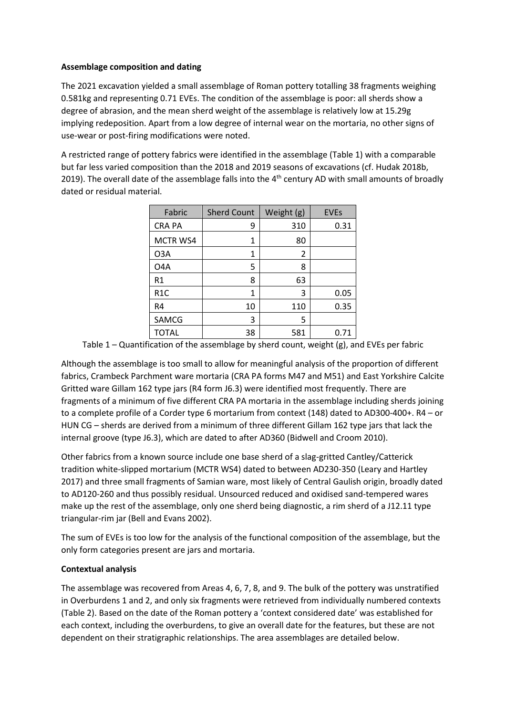### **Assemblage composition and dating**

The 2021 excavation yielded a small assemblage of Roman pottery totalling 38 fragments weighing 0.581kg and representing 0.71 EVEs. The condition of the assemblage is poor: all sherds show a degree of abrasion, and the mean sherd weight of the assemblage is relatively low at 15.29g implying redeposition. Apart from a low degree of internal wear on the mortaria, no other signs of use-wear or post-firing modifications were noted.

A restricted range of pottery fabrics were identified in the assemblage (Table 1) with a comparable but far less varied composition than the 2018 and 2019 seasons of excavations (cf. Hudak 2018b, 2019). The overall date of the assemblage falls into the  $4<sup>th</sup>$  century AD with small amounts of broadly dated or residual material.

| Fabric           | <b>Sherd Count</b> | Weight (g) | <b>EVEs</b> |
|------------------|--------------------|------------|-------------|
| <b>CRA PA</b>    | 9                  | 310        | 0.31        |
| MCTR WS4         | 1                  | 80         |             |
| O3A              | 1                  | 2          |             |
| O4A              | 5                  | 8          |             |
| R1               | 8                  | 63         |             |
| R <sub>1</sub> C | 1                  | 3          | 0.05        |
| R4               | 10                 | 110        | 0.35        |
| SAMCG            | 3                  | 5          |             |
| TOTAL            | 38                 | 581        | 0.71        |

Table 1 – Quantification of the assemblage by sherd count, weight (g), and EVEs per fabric

Although the assemblage is too small to allow for meaningful analysis of the proportion of different fabrics, Crambeck Parchment ware mortaria (CRA PA forms M47 and M51) and East Yorkshire Calcite Gritted ware Gillam 162 type jars (R4 form J6.3) were identified most frequently. There are fragments of a minimum of five different CRA PA mortaria in the assemblage including sherds joining to a complete profile of a Corder type 6 mortarium from context (148) dated to AD300-400+. R4 – or HUN CG – sherds are derived from a minimum of three different Gillam 162 type jars that lack the internal groove (type J6.3), which are dated to after AD360 (Bidwell and Croom 2010).

Other fabrics from a known source include one base sherd of a slag-gritted Cantley/Catterick tradition white-slipped mortarium (MCTR WS4) dated to between AD230-350 (Leary and Hartley 2017) and three small fragments of Samian ware, most likely of Central Gaulish origin, broadly dated to AD120-260 and thus possibly residual. Unsourced reduced and oxidised sand-tempered wares make up the rest of the assemblage, only one sherd being diagnostic, a rim sherd of a J12.11 type triangular-rim jar (Bell and Evans 2002).

The sum of EVEs is too low for the analysis of the functional composition of the assemblage, but the only form categories present are jars and mortaria.

# **Contextual analysis**

The assemblage was recovered from Areas 4, 6, 7, 8, and 9. The bulk of the pottery was unstratified in Overburdens 1 and 2, and only six fragments were retrieved from individually numbered contexts (Table 2). Based on the date of the Roman pottery a 'context considered date' was established for each context, including the overburdens, to give an overall date for the features, but these are not dependent on their stratigraphic relationships. The area assemblages are detailed below.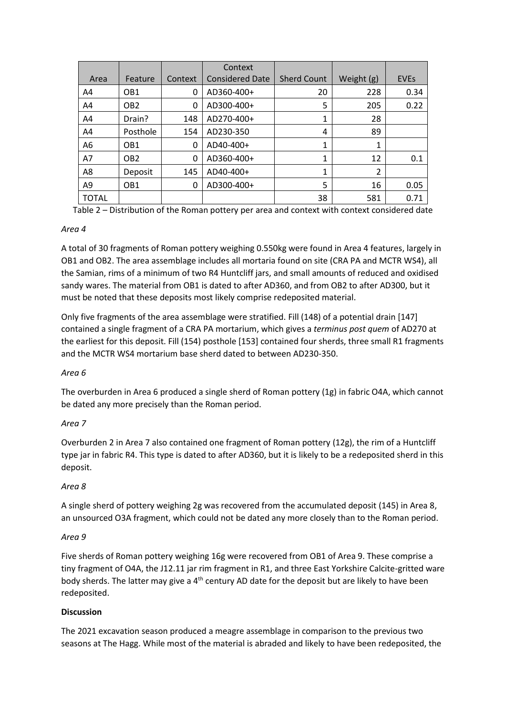|                |                 |         | Context                |                    |            |             |
|----------------|-----------------|---------|------------------------|--------------------|------------|-------------|
| Area           | Feature         | Context | <b>Considered Date</b> | <b>Sherd Count</b> | Weight (g) | <b>EVES</b> |
| A4             | OB <sub>1</sub> | 0       | AD360-400+             | 20                 | 228        | 0.34        |
| A4             | OB <sub>2</sub> | 0       | AD300-400+             | 5                  | 205        | 0.22        |
| A4             | Drain?          | 148     | AD270-400+             | 1                  | 28         |             |
| A4             | Posthole        | 154     | AD230-350              | 4                  | 89         |             |
| A6             | OB <sub>1</sub> | 0       | AD40-400+              | $\mathbf{1}$       | 1          |             |
| A7             | OB <sub>2</sub> | 0       | AD360-400+             | 1                  | 12         | 0.1         |
| A8             | Deposit         | 145     | AD40-400+              | $\mathbf{1}$       | 2          |             |
| A <sub>9</sub> | OB <sub>1</sub> | 0       | AD300-400+             | 5                  | 16         | 0.05        |
| <b>TOTAL</b>   |                 |         |                        | 38                 | 581        | 0.71        |

Table 2 – Distribution of the Roman pottery per area and context with context considered date

# *Area 4*

A total of 30 fragments of Roman pottery weighing 0.550kg were found in Area 4 features, largely in OB1 and OB2. The area assemblage includes all mortaria found on site (CRA PA and MCTR WS4), all the Samian, rims of a minimum of two R4 Huntcliff jars, and small amounts of reduced and oxidised sandy wares. The material from OB1 is dated to after AD360, and from OB2 to after AD300, but it must be noted that these deposits most likely comprise redeposited material.

Only five fragments of the area assemblage were stratified. Fill (148) of a potential drain [147] contained a single fragment of a CRA PA mortarium, which gives a *terminus post quem* of AD270 at the earliest for this deposit. Fill (154) posthole [153] contained four sherds, three small R1 fragments and the MCTR WS4 mortarium base sherd dated to between AD230-350.

# *Area 6*

The overburden in Area 6 produced a single sherd of Roman pottery (1g) in fabric O4A, which cannot be dated any more precisely than the Roman period.

# *Area 7*

Overburden 2 in Area 7 also contained one fragment of Roman pottery (12g), the rim of a Huntcliff type jar in fabric R4. This type is dated to after AD360, but it is likely to be a redeposited sherd in this deposit.

#### *Area 8*

A single sherd of pottery weighing 2g was recovered from the accumulated deposit (145) in Area 8, an unsourced O3A fragment, which could not be dated any more closely than to the Roman period.

#### *Area 9*

Five sherds of Roman pottery weighing 16g were recovered from OB1 of Area 9. These comprise a tiny fragment of O4A, the J12.11 jar rim fragment in R1, and three East Yorkshire Calcite-gritted ware body sherds. The latter may give a 4<sup>th</sup> century AD date for the deposit but are likely to have been redeposited.

# **Discussion**

The 2021 excavation season produced a meagre assemblage in comparison to the previous two seasons at The Hagg. While most of the material is abraded and likely to have been redeposited, the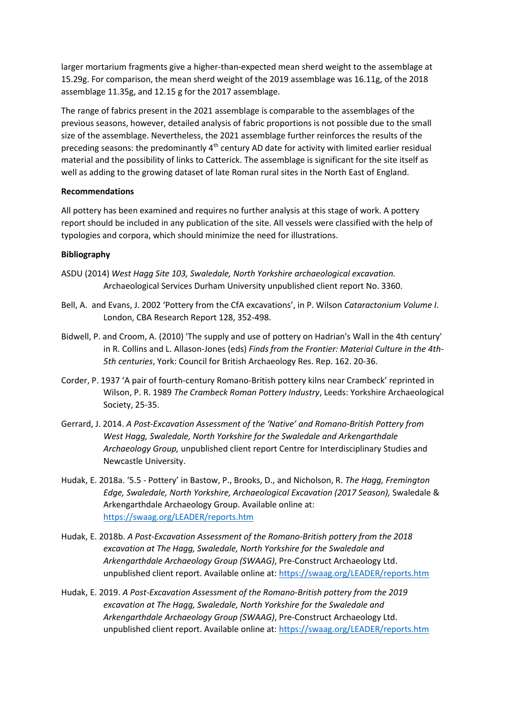larger mortarium fragments give a higher-than-expected mean sherd weight to the assemblage at 15.29g. For comparison, the mean sherd weight of the 2019 assemblage was 16.11g, of the 2018 assemblage 11.35g, and 12.15 g for the 2017 assemblage.

The range of fabrics present in the 2021 assemblage is comparable to the assemblages of the previous seasons, however, detailed analysis of fabric proportions is not possible due to the small size of the assemblage. Nevertheless, the 2021 assemblage further reinforces the results of the preceding seasons: the predominantly 4th century AD date for activity with limited earlier residual material and the possibility of links to Catterick. The assemblage is significant for the site itself as well as adding to the growing dataset of late Roman rural sites in the North East of England.

### **Recommendations**

All pottery has been examined and requires no further analysis at this stage of work. A pottery report should be included in any publication of the site. All vessels were classified with the help of typologies and corpora, which should minimize the need for illustrations.

### **Bibliography**

- ASDU (2014) *West Hagg Site 103, Swaledale, North Yorkshire archaeological excavation.*  Archaeological Services Durham University unpublished client report No. 3360.
- Bell, A. and Evans, J. 2002 'Pottery from the CfA excavations', in P. Wilson *Cataractonium Volume I*. London, CBA Research Report 128, 352-498.
- Bidwell, P. and Croom, A. (2010) 'The supply and use of pottery on Hadrian's Wall in the 4th century' in R. Collins and L. Allason-Jones (eds) *Finds from the Frontier: Material Culture in the 4th-5th centuries*, York: Council for British Archaeology Res. Rep. 162. 20-36.
- Corder, P. 1937 'A pair of fourth-century Romano-British pottery kilns near Crambeck' reprinted in Wilson, P. R. 1989 *The Crambeck Roman Pottery Industry*, Leeds: Yorkshire Archaeological Society, 25-35.
- Gerrard, J. 2014. *A Post-Excavation Assessment of the 'Native' and Romano-British Pottery from West Hagg, Swaledale, North Yorkshire for the Swaledale and Arkengarthdale Archaeology Group,* unpublished client report Centre for Interdisciplinary Studies and Newcastle University.
- Hudak, E. 2018a. '5.5 Pottery' in Bastow, P., Brooks, D., and Nicholson, R. *The Hagg, Fremington Edge, Swaledale, North Yorkshire, Archaeological Excavation (2017 Season),* Swaledale & Arkengarthdale Archaeology Group. Available online at: <https://swaag.org/LEADER/reports.htm>
- Hudak, E. 2018b. *A Post-Excavation Assessment of the Romano-British pottery from the 2018 excavation at The Hagg, Swaledale, North Yorkshire for the Swaledale and Arkengarthdale Archaeology Group (SWAAG)*, Pre-Construct Archaeology Ltd. unpublished client report. Available online at:<https://swaag.org/LEADER/reports.htm>
- Hudak, E. 2019. *A Post-Excavation Assessment of the Romano-British pottery from the 2019 excavation at The Hagg, Swaledale, North Yorkshire for the Swaledale and Arkengarthdale Archaeology Group (SWAAG)*, Pre-Construct Archaeology Ltd. unpublished client report. Available online at:<https://swaag.org/LEADER/reports.htm>